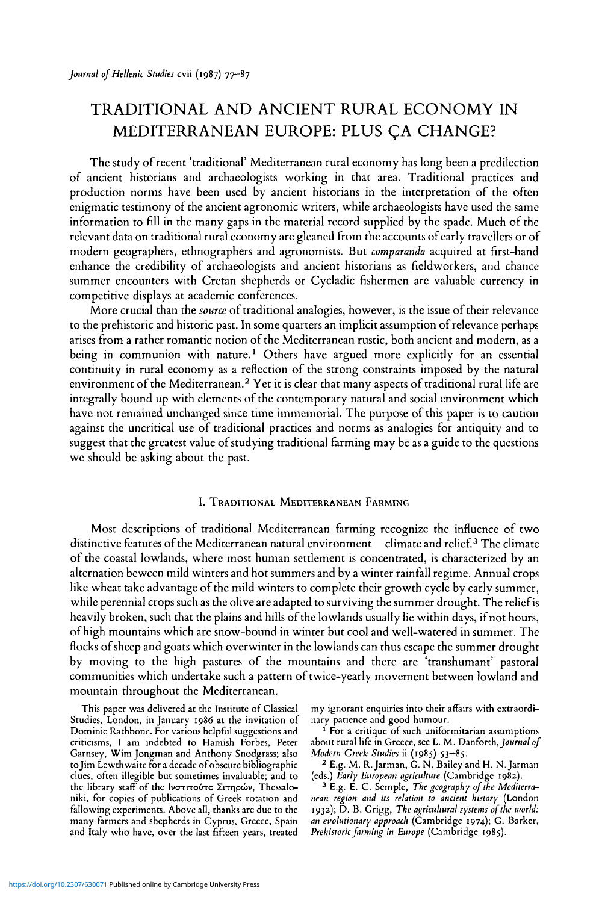# TRADITIONAL AND ANCIENT RURAL ECONOMY IN MEDITERRANEAN EUROPE: PLUS CA CHANGE?

The study of recent 'traditional' Mediterranean rural economy has long been a predilection of ancient historians and archaeologists working in that area. Traditional practices and production norms have been used by ancient historians in the interpretation of the often enigmatic testimony of the ancient agronomic writers, while archaeologists have used the same information to fill in the many gaps in the material record supplied by the spade. Much of the relevant data on traditional rural economy are gleaned from the accounts of early travellers or of modern geographers, ethnographers and agronomists. But *comparanda* acquired at first-hand enhance the credibility of archaeologists and ancient historians as fieldworkers, and chance summer encounters with Cretan shepherds or Cycladic fishermen are valuable currency in competitive displays at academic conferences.

More crucial than the *source* of traditional analogies, however, is the issue of their relevance to the prehistoric and historic past. In some quarters an implicit assumption of relevance perhaps arises from a rather romantic notion of the Mediterranean rustic, both ancient and modern, as a being in communion with nature.<sup>1</sup> Others have argued more explicitly for an essential continuity in rural economy as a reflection of the strong constraints imposed by the natural environment of the Mediterranean.<sup>2</sup> Yet it is clear that many aspects of traditional rural life are integrally bound up with elements of the contemporary natural and social environment which have not remained unchanged since time immemorial. The purpose of this paper is to caution against the uncritical use of traditional practices and norms as analogies for antiquity and to suggest that the greatest value of studying traditional farming may be as a guide to the questions we should be asking about the past.

## I. TRADITIONAL MEDITERRANEAN FARMING

Most descriptions of traditional Mediterranean farming recognize the influence of two distinctive features of the Mediterranean natural environment—climate and relief.3 The climate of the coastal lowlands, where most human settlement is concentrated, is characterized by an alternation beween mild winters and hot summers and by a winter rainfall regime. Annual crops like wheat take advantage of the mild winters to complete their growth cycle by early summer, while perennial crops such as the olive are adapted to surviving the summer drought. The relief is heavily broken, such that the plains and hills of the lowlands usually lie within days, if not hours, of high mountains which are snow-bound in winter but cool and well-watered in summer. The flocks of sheep and goats which overwinter in the lowlands can thus escape the summer drought by moving to the high pastures of the mountains and there are 'transhumant' pastoral communities which undertake such a pattern of twice-yearly movement between lowland and mountain throughout the Mediterranean.

Studics, London, in January 1986 at the invitation of nary patience and good humour. Dominic Rathbone. For various helpful suggestions and <sup>1</sup> For a critique of such uniformitarian assumptions criticisms, I am indebted to Hamish Forbes, Peter about rural life in Greece, see L. M. Danforth, *Journal of* Garnsey, Wim Jongman and Anthony Snodgrass; also *Modern Greek Studies* ii (1985) 53-85. Garnsey, Wim Jongman and Anthony Snodgrass; also to Jim Lewthwaite for a decade of obscure bibliographic clues, often illegible but sometimes invaluable; and to (eds.) *Early European agriculture* (Cambridge 1982). the library staff of the Ινστιτούτο Σιτηρών, Thessaloniki, for copies of publications of Greek rotation and *nean region and its relation to ancient history* (London fallowing experiments. Above all, thanks are due to the 1932); D. B. Grigg, The agricultural systems of the world: many farmers and shepherds in Cyprus, Greece, Spain *an evolutionary approach* (Cambridge 1974); G. Barker, and Italy who have, over the last fifteen years, treated *Prehistoric farming in Europe* (Cambridge 1985).

This paper was delivered at the Institute of Classical my ignorant enquiries into their affairs with extraordi-

2 E.g. M. R.Jarman, G. N. Bailey and H. N.Jarman

3 E.g. E. C. Semple, *The geography of the Medilerra-*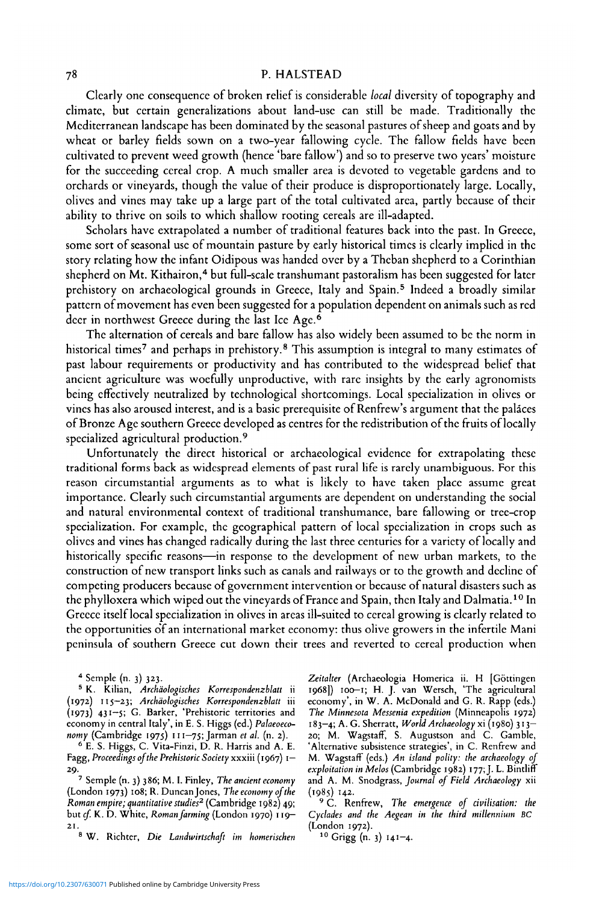Clearly one consequence of broken relief is considerable *local* diversity of topography and climate, but certain generalizations about land-use can still be made. Traditionally the Mediterranean landscape has been dominated by the seasonal pastures of sheep and goats and by wheat or barley fields sown on a two-year fallowing cycle. The fallow fields have been cultivated to prevent weed growth (hence 'bare fallow') and so to preserve two years' moisture for the succeeding cereal crop. A much smaller area is devoted to vegetable gardens and to orchards or vineyards, though the value of their produce is disproportionately large. Locally, olives and vines may take up a large part of the total cultivated area, partly because of their ability to thrive on soils to which shallow rooting cereals are ill-adapted.

Scholars have extrapolated a number of traditional features back into the past. In Greece, some sort of seasonal use of mountain pasture by early historical times is clearly implied in the story relating how the infant Oidipous was handed over by a Theban shepherd to a Corinthian shepherd on Mt. Kithairon,<sup>4</sup> but full-scale transhumant pastoralism has been suggested for later prehistory on archaeological grounds in Greece, Italy and Spain.<sup>5</sup> Indeed a broadly similar pattern of movement has even been suggested for a population dependent on animals such as red deer in northwest Greece during the last Ice Age.<sup>6</sup>

The alternation of cereals and bare fallow has also widely been assumed to be the norm in historical times<sup>7</sup> and perhaps in prehistory.<sup>8</sup> This assumption is integral to many estimates of past labour requirements or productivity and has contributed to the widespread belief that ancient agriculture was woefully unproductive, with rare insights by the early agronomists being effectively neutralized by technological shortcomings. Local specialization in olives or vines has also aroused interest, and is a basic prerequisite of Renfrew's argument that the palaces of Bronze Age southern Greece developed as centres for the redistribution of the fruits of locally specialized agricultural production.<sup>9</sup>

Unfortunately the direct historical or archaeological evidence for extrapolating these traditional forms back as widespread elements of past rural life is rarely unambiguous. For this reason circumstantial arguments as to what is likely to have taken place assume great importance. Clearly such circumstantial arguments are dependent on understanding the social and natural environmental context of traditional transhumance, bare fallowing or tree-crop specialization. For example, the geographical pattern of local specialization in crops such as olives and vines has changed radically during the last three centuries for a variety of locally and historically specific reasons—in response to the development of new urban markets, to the construction of new transport links such as canals and railways or to the growth and decline of competing producers because of government intervention or because of natural disasters such as the phylloxera which wiped out the vineyards of France and Spain, then Italy and Dalmatia.<sup>10</sup> In Greece itself local specialization in olives in areas ill-suited to cereal growing is clearly related to the opportunities of an international market economy: thus olive growers in the infertile Mani peninsula of southern Greece cut down their trees and reverted to cereal production when

<sup>4</sup> Semple (n. 3) 323.

(1972) 115-23; Archäologisches Korrespondenzblatt iii<br>(1973) 431-5; G. Barker, 'Prehistoric territories and economy in central Italy', in E. S. Higgs (ed.) *Palaeoeco-nomy* (Cambridge 1975) 111-75; Jarman et al. (n. 2).

(London 1973) 108; R. Duncan Jones, *The economy of the* (1985) 142. *Roman empire; quantitative studies<sup>2</sup>* (Cambridge 1982)49; but *cf.* K. D. White, *Roman farming* (London 1970) 119– *Cyclades and th*<br>21. (London 1972).

21. (London 1972). <sup>8</sup> W. Richter, *Die Landwirtschaft im homerischen*<sup>10</sup>

 Semple (n. 3) 323. *Zeitaher* (Archaeologia Homerica ii. H [Gottingen <sup>5</sup> 1968]) 100-1; H. J. van Wersch, 'The agricultural economy', in W. A. McDonald and G. R. Rapp (eds.) (>973) 431—5; G. Barker, 'Prehistoric territories and *The Minnesota Messenia expedition* (Minneapolis 1972) *nomy* (Cambridge 1975) 111–75; Jarman et al. (n. 2). 20; M. Wagstaff, S. Augustson and C. Gamble, 6 E. S. Higgs, C. Vita-Finzi, D. R. Harris and A. E. 'Alternative subsistence strategies', in C. Renfrew and Fagg, Proceedi E. S. Higgs, C. Vita-Finzi, D. R. Harris and A. E. 'Alternative subsistence strategies', in C. Renfrew and Fagg, *Proceedings of the Prehistoric Society xxxiii* (1967) 1— M. Wagstaff (eds.) *An island polity: the archaeology of* 29. exploitation in Melos (Cambridge 1982) 177; J. L. Bintliff<br><sup>7</sup> Semple (n. 3) 386; M. I. Finley, *The ancient economy* and A. M. Snodgrass, *Journal of Field Archaeology* xii and A. M. Snodgrass, Journal of Field Archaeology xii

9 C. Renfrew, *The emergence of civilisation: the*

 $10$  Grigg (n. 3)  $141-4$ .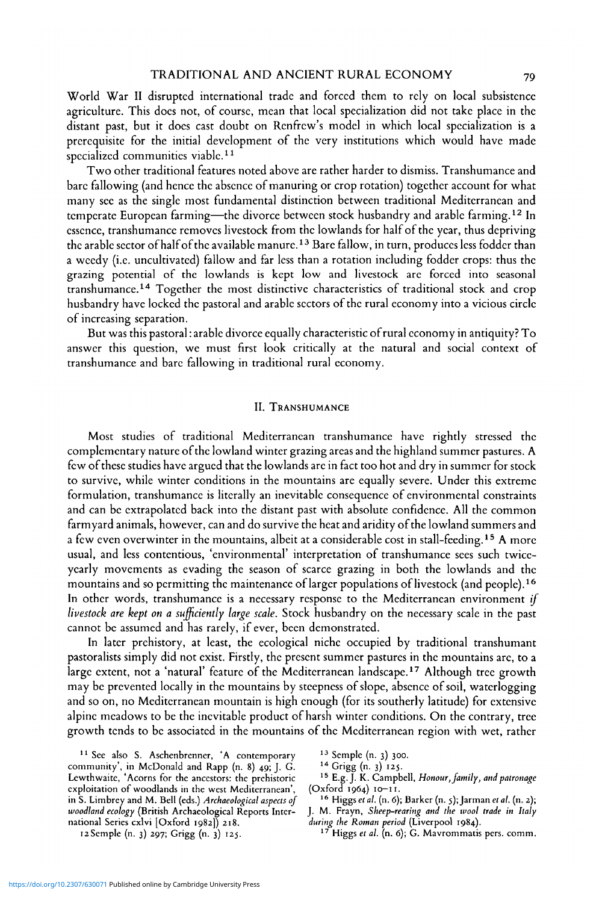World War II disrupted international trade and forced them to rely on local subsistence agriculture. This does not, of course, mean that local specialization did not take place in the distant past, but it does cast doubt on Renfrew's model in which local specialization is a prerequisite for the initial development of the very institutions which would have made specialized communities viable.<sup>11</sup>

Two other traditional features noted above are rather harder to dismiss. Transhumance and bare fallowing (and hence the absence of manuring or crop rotation) together account for what many see as the single most fundamental distinction between traditional Mediterranean and temperate European farming—the divorce between stock husbandry and arable farming.<sup>12</sup> In essence, transhumance removes livestock from the lowlands for half of the year, thus depriving the arable sector of half of the available manure.<sup>13</sup> Bare fallow, in turn, produces less fodder than a weedy (i.e. uncultivated) fallow and far less than a rotation including fodder crops: thus the grazing potential of the lowlands is kept low and livestock are forced into seasonal transhumance.<sup>14</sup> Together the most distinctive characteristics of traditional stock and crop husbandry have locked the pastoral and arable sectors of the rural economy into a vicious circle of increasing separation.

But was this pastoral: arable divorce equally characteristic of rural economy in antiquity? To answer this question, we must first look critically at the natural and social context of transhumance and bare fallowing in traditional rural economy.

## II. TRANSHUMANCE

Most studies of traditional Mediterranean transhumance have rightly stressed the complementary nature of the lowland winter grazing areas and the highland summer pastures. A few of these studies have argued that the lowlands are in fact too hot and dry in summer for stock to survive, while winter conditions in the mountains are equally severe. Under this extreme formulation, transhumance is literally an inevitable consequence of environmental constraints and can be extrapolated back into the distant past with absolute confidence. All the common farmyard animals, however, can and do survive the heat and aridity of the lowland summers and a few even overwinter in the mountains, albeit at a considerable cost in stall-feeding.<sup>15</sup> A more usual, and less contentious, 'environmental' interpretation of transhumance sees such twiceyearly movements as evading the season of scarce grazing in both the lowlands and the mountains and so permitting the maintenance of larger populations of livestock (and people).<sup>16</sup> In other words, transhumance is a necessary response to the Mediterranean environment *if livestock are kept on a sufficiently large scale.* Stock husbandry on the necessary scale in the past cannot be assumed and has rarely, if ever, been demonstrated.

In later prehistory, at least, the ecological niche occupied by traditional transhumant pastoralists simply did not exist. Firstly, the present summer pastures in the mountains arc, to a large extent, not a 'natural' feature of the Mediterranean landscape.<sup>17</sup> Although tree growth may be prevented locally in the mountains by steepness of slope, absence of soil, waterlogging and so on, no Mediterranean mountain is high enough (for its southerly latitude) for extensive alpine meadows to be the inevitable product of harsh winter conditions. On the contrary, tree growth tends to be associated in the mountains of the Mediterranean region with wet, rather

i2Scmple (n. 3) 297; Grigg (n. 3) 125.

<https://doi.org/10.2307/630071> Published online by Cambridge University Press

15 E.g. J. K. Campbell, *Honour, family, anil patronage*

<sup>17</sup> Higgs et al. (n. 6); G. Mavrommatis pers. comm.

<sup>&</sup>lt;sup>11</sup> See also S. Aschenbrenner, 'A contemporary community', in McDonald and Rapp (n. 8) 49; J. G. Lewthwaite, 'Acorns for the ancestors: the prehistoric exploitation of woodlands in the west Mediterranean', (Oxford 1964) 10—11. in S. Limbrey and M. Bell (eds.) Archaeological aspects of <sup>16</sup> Higgs et al. (n. 6); Barker (n. 5); Jarman et al. (n. 2);<br>woodland ecology (British Archaeological Reports Inter- J. M. Frayn, *Sheep-rearing and the wool tra woodland ecology* (British Archaeological Reports Inter-<br>national Series cxlvi [Oxford 1982]) 218. 17

 $13$  Semple (n. 3) 300.

 <sup>14</sup> Grigg (n. 3) 125.

<sup>&</sup>lt;sup>16</sup> Higgs et al. (n. 6); Barker (n. 5); Jarman et al. (n. 2); during the Roman period (Liverpool 1984).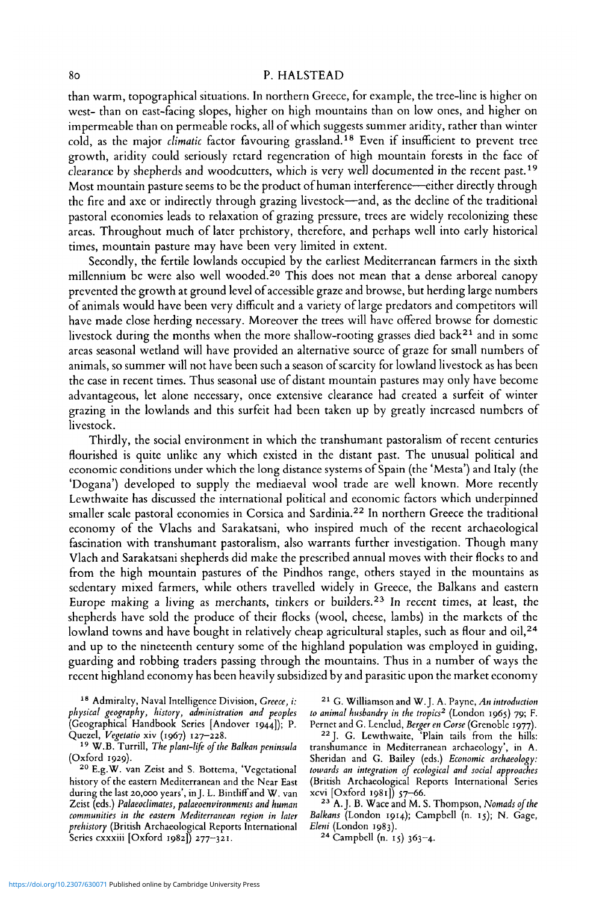than warm, topographical situations. In northern Greece, for example, the tree-line is higher on west- than on east-facing slopes, higher on high mountains than on low ones, and higher on impermeable than on permeable rocks, all of which suggests summer aridity, rather than winter cold, as the major *climatic* factor favouring grassland.<sup>18</sup> Even if insufficient to prevent tree growth, aridity could seriously retard regeneration of high mountain forests in the face of clearance by shepherds and woodcutters, which is very well documented in the recent past.<sup>19</sup> Most mountain pasture seems to be the product of human interference—either directly through the fire and axe or indirectly through grazing livestock—and, as the decline of the traditional pastoral economies leads to relaxation of grazing pressure, trees are widely recolonizing these areas. Throughout much of later prehistory, therefore, and perhaps well into early historical times, mountain pasture may have been very limited in extent.

Secondly, the fertile lowlands occupied by the earliest Mediterranean farmers in the sixth millennium bc were also well wooded.<sup>20</sup> This does not mean that a dense arboreal canopy prevented the growth at ground level of accessible graze and browse, but herding large numbers of animals would have been very difficult and a variety of large predators and competitors will have made close herding necessary. Moreover the trees will have offered browse for domestic livestock during the months when the more shallow-rooting grasses died back<sup>21</sup> and in some areas seasonal wetland will have provided an alternative source of graze for small numbers of animals, so summer will not have been such a season of scarcity for lowland livestock as has been the case in recent times. Thus seasonal use of distant mountain pastures may only have become advantageous, let alone necessary, once extensive clearance had created a surfeit of winter grazing in the lowlands and this surfeit had been taken up by greatly increased numbers of livestock.

Thirdly, the social environment in which the transhumant pastoralism of recent centuries flourished is quite unlike any which existed in the distant past. The unusual political and economic conditions under which the long distance systems of Spain (the 'Mesta') and Italy (the 'Dogana') developed to supply the mediaeval wool trade are well known. More recently Lewthwaite has discussed the international political and economic factors which underpinned smaller scale pastoral economies in Corsica and Sardinia.<sup>22</sup> In northern Greece the traditional economy of the Vlachs and Sarakatsani, who inspired much of the recent archaeological fascination with transhumant pastoralism, also warrants further investigation. Though many Vlach and Sarakatsani shepherds did make the prescribed annual moves with their flocks to and from the high mountain pastures of the Pindhos range, others stayed in the mountains as sedentary mixed farmers, while others travelled widely in Greece, the Balkans and eastern Europe making a living as merchants, tinkers or builders.<sup>23</sup> In recent times, at least, the shepherds have sold the produce of their flocks (wool, cheese, lambs) in the markets of the lowland towns and have bought in relatively cheap agricultural staples, such as flour and oil,<sup>24</sup> and up to the nineteenth century some of the highland population was employed in guiding, guarding and robbing traders passing through the mountains. Thus in a number of ways the recent highland economy has been heavily subsidized by and parasitic upon the market economy

<sup>18</sup> Admiralty, Naval Intelligence Division, Greece, i:<sup>21</sup> *physical geography, history, administration and peoples* (Geographical Handbook Series [Andover 1944]); P. (Geographical Handbook Series [Andover 1944]); P. Pernet and G. Lenclud, *Berger en Corse* (Grenoble 1977). Quezel, *Vegetatio* xiv (1967) 127-228.

history of the eastern Mediterranean and the Near East (British Archaeological Reports International Series during the last 20,000 years', in J. L. Bintliff and W. van xevi  $[Ox$  ford 1981]) 57–66. Zeist (eds.) Palaeoclimates, palaeoenvironments and human<br>communities in the eastern Mediterranean region in later *prehistory* (British Archaeological Reports International Series exxxiii [Oxford 1982]) 277—321.  $24$ 

 G. Williamson and W.J. A. Payne, *An introduction* to animal husbandry in the tropics<sup>2</sup> (London 1965) 79; F.

ezel, Vegetatio xiv (1967) 127–228. <sup>22</sup> J. G. Lewthwaite, <sup>3</sup>Plain tails from the hills:<br><sup>19</sup> W. B. Turrill, *The plant life of the Belhau paringula*, transhumango in Maditaryngan archaeology, in A. W.B. Turrill, *The plant-life of the Balkan peninsula* transhumance in Mediterranean archaeology', in A. (Oxford 1929). Sheridan and G. Bailey (eds.) *Economic archaeology: <sup>20</sup>* E.g.W. van Zeist and S. Bottema, 'Vegetational *towards an integration of ecological and social approaches*

 A. J. B. Wace and M. S. Thompson, *Nomads of the Balkans* (London 1914); Campbell (n. 15); N. Gage, *Eleni* (London 1983).

 $24$  Campbell (n. 15) 363-4.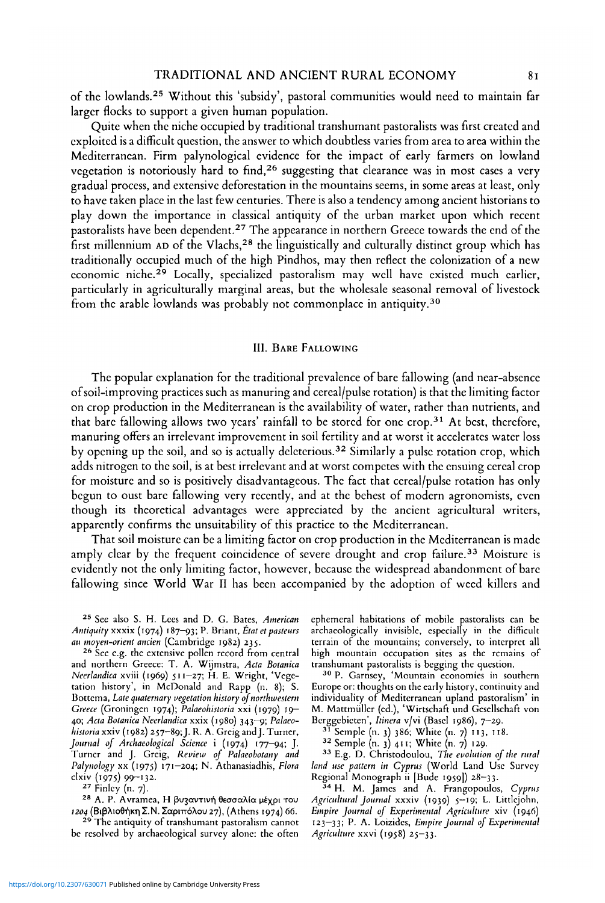of the lowlands.<sup>25</sup> Without this 'subsidy', pastoral communities would need to maintain far larger flocks to support a given human population.

Quite when the niche occupied by traditional transhumant pastoralists was first created and exploited is a difficult question, the answer to which doubtless varies from area to area within the Mediterranean. Firm palynological evidence for the impact of early farmers on lowland vegetation is notoriously hard to find,<sup>26</sup> suggesting that clearance was in most cases a very gradual process, and extensive deforestation in the mountains seems, in some areas at least, only to have taken place in the last few centuries. There is also a tendency among ancient historians to play down the importance in classical antiquity of the urban market upon which recent pastoralists have been dependent.<sup>27</sup> The appearance in northern Greece towards the end of the  $\tilde{f}$ irst millennium <code>AD</code> of the Vlachs, $^{28}$  the linguistically and culturally distinct group which has traditionally occupied much of the high Pindhos, may then reflect the colonization of a new economic niche.<sup>29</sup> Locally, specialized pastoralism may well have existed much earlier, particularly in agriculturally marginal areas, but the wholesale seasonal removal of livestock from the arable lowlands was probably not commonplace in antiquity.<sup>30</sup>

#### III. BARE FALLOWING

The popular explanation for the traditional prevalence of bare fallowing (and near-absence of soil-improving practices such as manuring and cereal/pulse rotation) is that the limiting factor on crop production in the Mediterranean is the availability of water, rather than nutrients, and that bare fallowing allows two years' rainfall to be stored for one crop.<sup>31</sup> At best, therefore, manuring offers an irrelevant improvement in soil fertility and at worst it accelerates water loss by opening up the soil, and so is actually deleterious.<sup>32</sup> Similarly a pulse rotation crop, which adds nitrogen to the soil, is at best irrelevant and at worst competes with the ensuing cereal crop for moisture and so is positively disadvantageous. The fact that cereal/pulse rotation has only begun to oust bare fallowing very recently, and at the behest of modern agronomists, even though its theoretical advantages were appreciated by the ancient agricultural writers, apparently confirms the unsuitability of this practice to the Mediterranean.

That soil moisture can be a limiting factor on crop production in the Mediterranean is made amply clear by the frequent coincidence of severe drought and crop failure.<sup>33</sup> Moisture is evidently not the only limiting factor, however, because the widespread abandonment of bare fallowing since World War II has been accompanied by the adoption of weed killers and

<sup>25</sup> See also S. H. Lees and D. G. Bates, American *Antiquity* xxxix (1974) 187–93; P. Briant, État et pasteurs<br>au moyen-orient ancien (Cambridge 1982) 235.

and northern Greece: T. A. Wijmstra, *Ada Botanica* transhumant pastoralists is begging the question. *Neerlandica* xviii (1969) 511—27; H. E. Wright, 'Vege tation history', in McDonald and Rapp (n. 8); S. Europe or: thoughts on the early history, continuity and<br>Bottema, Late quaternary vegetation history of northwestern individuality of Mediterranean upland pastoralism' Bottcma, *Late quaternary vegetation history of northwestern* individuality of Mediterranean upland pastoralism' in 40; *Ada Botanica Neerlandica* xxix (1980) 343—9; *Palaeo-* Bcrggcbicten', *Itinera* v/vi (Basel 1986), 7—29. *historia* xxiv (1982) 257-89; J. R. A. Greig and J. Turner, *Journal of Archaeological Science* i (1974) 177-94; J- Turner and J. Greig, Review of Palaeobotany and<br>Palynology xx (1975) 171–204; N. Athanasiadhis, Flora *Palynology* xx (1975) 171—204; N. Athanasiadhis, *Flora land use pattern in Cyprus* (World Land Use Survey

clxiv (1975) 99-132.<br>
<sup>27</sup> Finley (n. 7).<br>
<sup>28</sup> A. P. Avramea, Η βυζαντινή θεσσαλία μέχρι του *1204* (Βιβλιοθήκη Σ.Ν. Σαριπόλου 27), (Athens 1974) 66.<br><sup>29</sup> The antiquity of transhumant pastoralism cannot

be resolved by archaeological survey alone: the often *Agriculture* xxvi (1958) 25—33.

ephemeral habitations of mobile pastoralists can be<br>archaeologically invisible, especially in the difficult terrain of the mountains; conversely, to interpret all <sup>26</sup> See e.g. the extensive pollen record from central high mountain occupation sites as the remains of

<sup>30</sup> P. Garnsey, 'Mountain economies in southern *Greece* (Groningen 1974); *Palaeohistoria* xxi (1979) 19— M. Mattmiiller (ed.), 'Wirtschaft und Gesellschaft von

 $\overline{\mathbf{3}}$  $31$  Semple (n. 3) 386; White (n. 7) 113, 118.

 $32$  Semple (n. 3) 411; White (n. 7) 129.

E.g. D. Christodoulou, *The evolution of the rural*

clxiv (1975) 99–132.<br><sup>27</sup> Finley (n. 7). <sup>34</sup> H. M. James and A. Frangopoulos, *Cyprus*<br><sup>28</sup> A P. Auramea H. Burgarum Berree le union rou. *Agricultural Jaurual www. (1939*) cultural Julian by Agricultural Journal xxxiv (1939) 5-19; L. Littlejohn,  $Empire$  Journal of Experimental Agriculture xiv (1946) 123-33; P. A. Loizides, *Empire Journal of Experimental*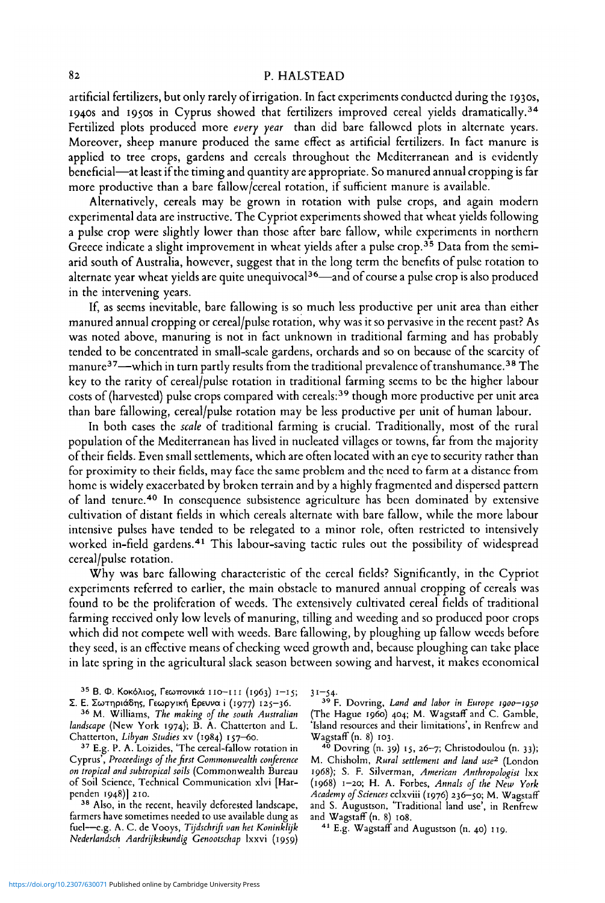artificial fertilizers, but only rarely of irrigation. In fact experiments conducted during the 1930s, 1940s and 1950s in Cyprus showed that fertilizers improved cereal yields dramatically.<sup>34</sup> Fertilized plots produced more *every year* than did bare fallowed plots in alternate years. Moreover, sheep manure produced the same effect as artificial fertilizers. In fact manure is applied to tree crops, gardens and cereals throughout the Mediterranean and is evidently beneficial—at least if the timing and quantity are appropriate. So manured annual cropping is far more productive than a bare fallow/cereal rotation, if sufficient manure is available.

Alternatively, cereals may be grown in rotation with pulse crops, and again modern experimental data are instructive. The Cypriot experiments showed that wheat yields following a pulse crop were slightly lower than those after bare fallow, while experiments in northern Greece indicate a slight improvement in wheat yields after a pulse crop.<sup>35</sup> Data from the semiarid south of Australia, however, suggest that in the long term the benefits of pulse rotation to alternate year wheat yields are quite unequivocal<sup>36</sup>—and of course a pulse crop is also produced in the intervening years.

If, as seems inevitable, bare fallowing is so much less productive per unit area than either manured annual cropping or cereal/pulse rotation, why was it so pervasive in the recent past? As was noted above, manuring is not in fact unknown in traditional farming and has probably tended to be concentrated in small-scale gardens, orchards and so on because of the scarcity of manure<sup>37</sup>—which in turn partly results from the traditional prevalence of transhumance.<sup>38</sup> The key to the rarity of cereal/pulse rotation in traditional farming seems to be the higher labour costs of (harvested) pulse crops compared with cereals:<sup>39</sup> though more productive per unit area than bare fallowing, cereal/pulse rotation may be less productive per unit of human labour.

In both cases the *scale* of traditional farming is crucial. Traditionally, most of the rural population of the Mediterranean has lived in nucleated villages or towns, far from the majority of their fields. Even small settlements, which are often located with an eye to security rather than for proximity to their fields, may face the same problem and the need to farm at a distance from home is widely exacerbated by broken terrain and by a highly fragmented and dispersed pattern of land tenure.<sup>40</sup> In consequence subsistence agriculture has been dominated by extensive cultivation of distant fields in which cereals alternate with bare fallow, while the more labour intensive pulses have tended to be relegated to a minor role, often restricted to intensively worked in-field gardens.<sup>41</sup> This labour-saving tactic rules out the possibility of widespread cereal/pulse rotation.

Why was bare fallowing characteristic of the cereal fields? Significantly, in the Cypriot experiments referred to earlier, the main obstacle to manured annual cropping of cereals was found to be the proliferation of weeds. The extensively cultivated cereal fields of traditional farming received only low levels of manuring, tilling and weeding and so produced poor crops which did not compete well with weeds. Bare fallowing, by ploughing up fallow weeds before they seed, is an effective means of checking weed growth and, because ploughing can take place in late spring in the agricultural slack season between sowing and harvest, it makes economical

35 Β. Φ. Κοκόλιος, Γεωπονικά 110–111 (1963) 1–15; 31–54.

Σ. Ε. Σωτηριάδης, Γεωργική Ερευνα i (1977) 125-36.<br><sup>36</sup> M. Williams, *The making of the south Australian landscape* (New York 1974); B. A. Chatterton and L. 'Island resources and their limitations', in Renfrew and Chatterton, *Libyan Studies* xv (1984) 157-60. Wagstaff (n. 8) 103.

 $37$  E.g. P. A. Loizides, 'The cereal-fallow rotation in Cyprus<sup>7</sup>, Proceedings of the first Commonwealth conference<br>on tropical and subtropical soils (Commonwealth Bureau of Soil Science, Technical Communication xlvi [Har- (1968) 1-20; H. A. Forbes, *Annals of the New York*

<sup>38</sup> Also, in the recent, heavily deforested landscape, farmers have sometimes needed to use available dung as fuel—e.g. A. C. de Vooys, *Tijdschrift van het Koninklijk*<sup>4</sup> <sup>1</sup> *Nederlandsch Aardrijkskundig Cenootschap* lxxvi (1959)

E. Σωτηριάδης, Γεωργική Ερευνα i (1977) 125–36. <sup>39</sup> F. Dovring, Land and labor in Europe 1900–1950<br><sup>36</sup> M. Williams, *The mabine of the south Australian* (The Hoove 1960) 1911 M. Woostoff and C. Comble M. Williams, *The making of the south Australian* (The Hague i960) 404; M. Wagstaff and C. Gamble,

 $40$  Dovring (n. 39) 15, 26-7; Christodoulou (n. 33); M. Chisholm, Rural settlement and land use<sup>2</sup> (London 1968); S. F. Silverman, American Anthropologist lxx penden 1948)] 210. *Academy of Sciences* cclxviii (1976) 236-50; M. Wagstaff Also, in the recent of recent in the recent and S. Augustson, 'Traditional land use', in Renfrew and Wagstaff (n. 8) 108.

E.g. Wagstaff and Augustson (n. 40) 119.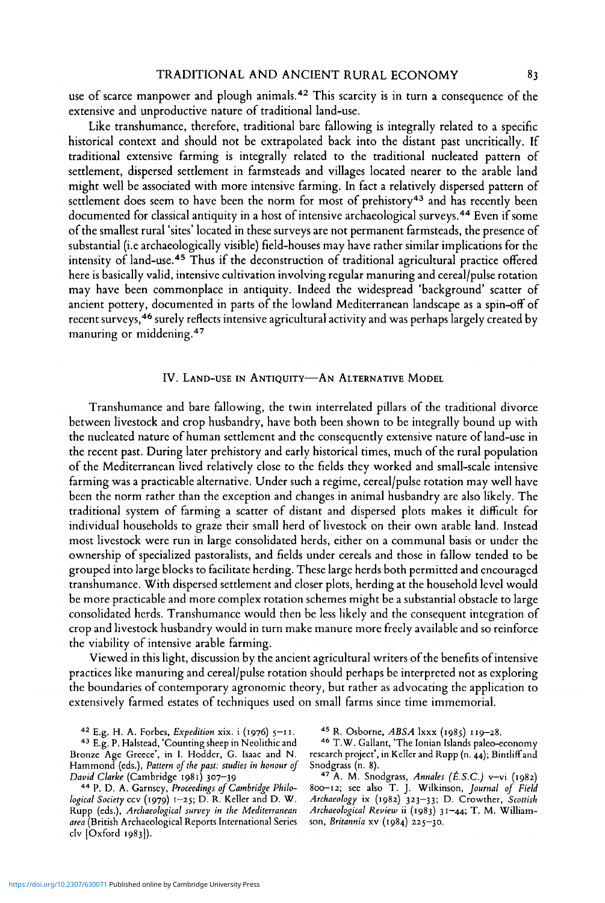use of scarce manpower and plough animals.<sup>42</sup> This scarcity is in turn a consequence of the extensive and unproductive nature of traditional land-use.

Like transhumance, therefore, traditional bare fallowing is integrally related to a specific historical context and should not be extrapolated back into the distant past uncritically. If traditional extensive farming is integrally related to the traditional nucleated pattern of settlement, dispersed settlement in farmsteads and villages located nearer to the arable land might well be associated with more intensive farming. In fact a relatively dispersed pattern of settlement does seem to have been the norm for most of prehistory<sup>43</sup> and has recently been documented for classical antiquity in a host of intensive archaeological surveys.<sup>44</sup> Even if some of the smallest rural 'sites' located in these surveys are not permanent farmsteads, the presence of substantial (i.e archaeologically visible) field-houses may have rather similar implications for the intensity of land-use.<sup>45</sup> Thus if the deconstruction of traditional agricultural practice offered here is basically valid, intensive cultivation involving regular manuring and cereal/pulse rotation may have been commonplace in antiquity. Indeed the widespread 'background' scatter of ancient pottery, documented in parts of the lowland Mediterranean landscape as a spin-off of recent surveys,<sup>46</sup> surely reflects intensive agricultural activity and was perhaps largely created by manuring or middening.<sup>47</sup>

### IV. LAND-USE IN ANTIQUITY—AN ALTERNATIVE MODEL

Transhumance and bare fallowing, the twin interrelated pillars of the traditional divorce between livestock and crop husbandry, have both been shown to be integrally bound up with the nucleated nature of human settlement and the consequently extensive nature of land-use in the recent past. During later prehistory and early historical times, much of the rural population of the Mediterranean lived relatively close to the fields they worked and small-scale intensive farming was a practicable alternative. Under such a regime, cereal/pulse rotation may well have been the norm rather than the exception and changes in animal husbandry are also likely. The traditional system of farming a scatter of distant and dispersed plots makes it difficult for individual households to graze their small herd of livestock on their own arable land. Instead most livestock were run in large consolidated herds, either on a communal basis or under the ownership of specialized pastoralists, and fields under cereals and those in fallow tended to be grouped into large blocks to facilitate herding. These large herds both permitted and encouraged transhumance. With dispersed settlement and closer plots, herding at the household level would be more practicable and more complex rotation schemes might be a substantial obstacle to large consolidated herds. Transhumance would then be less likely and the consequent integration of crop and livestock husbandry would in turn make manure more freely available and so reinforce the viability of intensive arable farming.

Viewed in this light, discussion by the ancient agricultural writers of the benefits of intensive practices like manuring and cereal/pulse rotation should perhaps be interpreted not as exploring the boundaries of contemporary agronomic theory, but rather as advocating the application to extensively farmed estates of techniques used on small farms since time immemorial.

<sup>42</sup> E.g. H. A. Forbes, *Expedition* xix. i (1976) 5–11. <sup>45</sup> R. Osborne, *ABSA* lxxx (1985) 119–28.<br><sup>43</sup> E.e. B. Helsteed, Counting sheep in Neolithic and the T.W. Gallant. The Jonian Islands peloc.

<sup>43</sup> E.g. P. Halstead, 'Counting sheep in Neolithic and Bronze Age Greece', in I. Hodder, G. Isaac and N. Hammond (eds.), *Pattern of the past: studies in honour of* Snodgrass (n. 8).

Rupp (eds.), *Archaeological survey in the Mediterranean Archaeological Review* ii (1983) 31–44; T. M. William-<br>area (British Archaeological Reports International Series son, *Britannia* xv (1984) 225–30. clv  $[Oxford 1983]$ .

45 R. Osborne, ABSA lxxx (1985) 119-28.

 T. W. Gallant, 'The Ionian Islands paleo-economy research project', in Keller and Rupp (n. 44); Bintliff and

*David Clarke* (Cambridge 1981) 307-39<sup>4</sup> <sup>7</sup> A. M. Snodgrass, *Annales (E.S.C.)* v-vi (1982) <sup>4</sup> <sup>4</sup> P. D. A. Garnsey, *Proceedings of Cambridge Philo-* 800-12; see also T. J. Wilkinson, *Journal of Field logical Society* ccv (1979) 1-25; D. R. Keller and D. W. *Archaeology* ix (1982) 323-33; D. Crowther, *Scottish* Rupp (eds.), *Archaeological survey in the Mediterranean Archaeological Review* ii (1983) 31—44; T. M. William-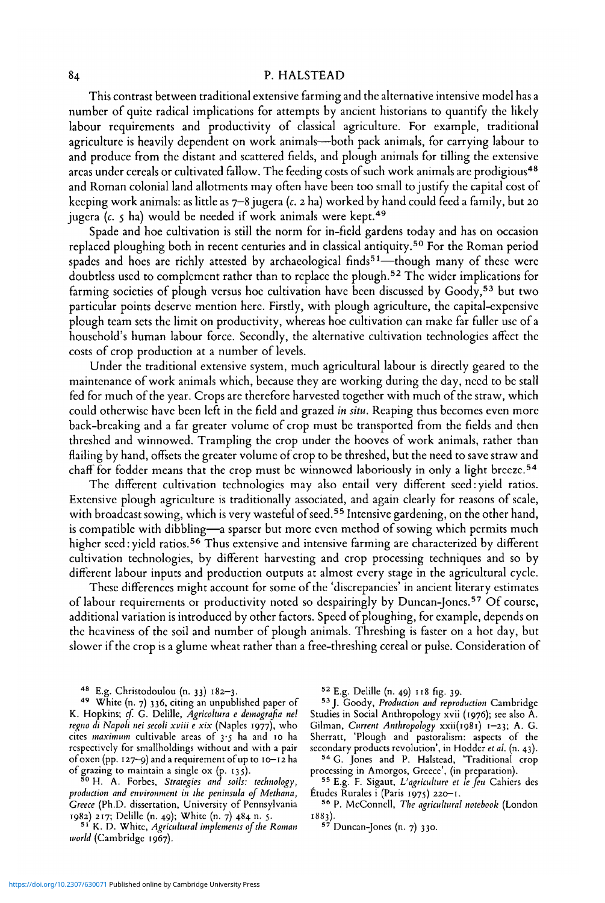This contrast between traditional extensive farming and the alternative intensive model has a number of quite radical implications for attempts by ancient historians to quantify the likely labour requirements and productivity of classical agriculture. For example, traditional agriculture is heavily dependent on work animals—both pack animals, for carrying labour to and produce from the distant and scattered fields, and plough animals for tilling the extensive areas under cereals or cultivated fallow. The feeding costs of such work animals are prodigious<sup>48</sup> and Roman colonial land allotments may often have been too small to justify the capital cost of keeping work animals: as little as 7—8 jugera *(c.* 2 ha) worked by hand could feed a family, but 20 jugcra *(c.* 5 ha) would be needed if work animals were kept.<sup>49</sup>

Spade and hoe cultivation is still the norm for in-field gardens today and has on occasion replaced ploughing both in recent centuries and in classical antiquity.<sup>50</sup> For the Roman period spades and hoes are richly attested by archaeological finds<sup>51</sup>—though many of these were doubtless used to complement rather than to replace the plough.<sup>52</sup> The wider implications for farming societies of plough versus hoe cultivation have been discussed by Goody,<sup>53</sup> but two particular points deserve mention here. Firstly, with plough agriculture, the capital-expensive plough team sets the limit on productivity, whereas hoe cultivation can make far fuller use of a household's human labour force. Secondly, the alternative cultivation technologies affect the costs of crop production at a number of levels.

Under the traditional extensive system, much agricultural labour is directly geared to the maintenance of work animals which, because they are working during the day, need to be stall fed for much of the year. Crops are therefore harvested together with much of the straw, which could otherwise have been left in the field and grazed *in situ.* Reaping thus becomes even more back-breaking and a far greater volume of crop must be transported from the fields and then threshed and winnowed. Trampling the crop under the hooves of work animals, rather than flailing by hand, offsets the greater volume of crop to be threshed, but the need to save straw and chaff for fodder means that the crop must be winnowed laboriously in only a light breeze.<sup>54</sup>

The different cultivation technologies may also entail very different seed:yield ratios. Extensive plough agriculture is traditionally associated, and again clearly for reasons of scale, with broadcast sowing, which is very wasteful of seed.<sup>55</sup> Intensive gardening, on the other hand, is compatible with dibbling—a sparser but more even method of sowing which permits much higher seed: yield ratios.<sup>56</sup> Thus extensive and intensive farming are characterized by different cultivation technologies, by different harvesting and crop processing techniques and so by different labour inputs and production outputs at almost every stage in the agricultural cycle.

These differences might account for some of the 'discrepancies' in ancient literary estimates of labour requirements or productivity noted so despairingly by Duncan-Jones.<sup>57</sup> Of course, additional variation is introduced by other factors. Speed of ploughing, for example, depends on the heaviness of the soil and number of plough animals. Threshing is faster on a hot day, but slower if the crop is a glume wheat rather than a free-threshing cereal or pulse. Consideration of

4 8 E.g. Christodoulou (n. 33) 182-3.

production and environment in the peninsula of Methana, *Greece* (Ph.D. dissertation, University of Pennsylvania 1982) 217; Delille (n. 49); White (n. 7) 484 n. 5.

<sup>51</sup> K. D. White, *Agricultural implements of the Roman* 57 *world* (Cambridge 1967).

 $54$ E.g. Delille (n. 49) 118 fig. 39.

<sup>53</sup> J. Goody, Production and reproduction Cambridge 5 4 G. Jones and P. Halstead, 'Traditional crop

of grazing to maintain a single ox (p. 135). processing in Amorgos, Greece', (in preparation). 5 0 H. A. Forbes, *Strategies and soils: technology,*<sup>5</sup> <sup>5</sup>

processing in Amorgos, Greece', (in preparation).<br><sup>55</sup> E.g. F. Sigaut, *L'agriculture et le feu* Cahiers des<br>Études Rurales i (Paris 1975) 220–1.

 5 6 P. McConncll, *The agricultural notebook* (London  $1883$ ).<br>57 Duncan-Jones (n. 7) 330.

<sup>&</sup>lt;sup>49</sup> White (n. 7) 336, citing an unpublished paper of K. Hopkins; *cf.* G. Delille, *Agricoltura e demografia net* Studies in Social Anthropology xvii (1976); see also A. *regno di Napoli net secoli xviii e xix* (Naples 1977), who Gilman, *Current Anthropology* xxii(i98i) 1—23; A. G. cites *maximum* cultivable areas of 3-5 ha and 10 ha Sherratt, 'Plough and pastoralism: aspects of the respectively for smallholdings without and with a pair secondary products revolution', in Hodder *et al.* (n. 43). of oxen (pp. 127—9) and a requirement of up to 10—12 ha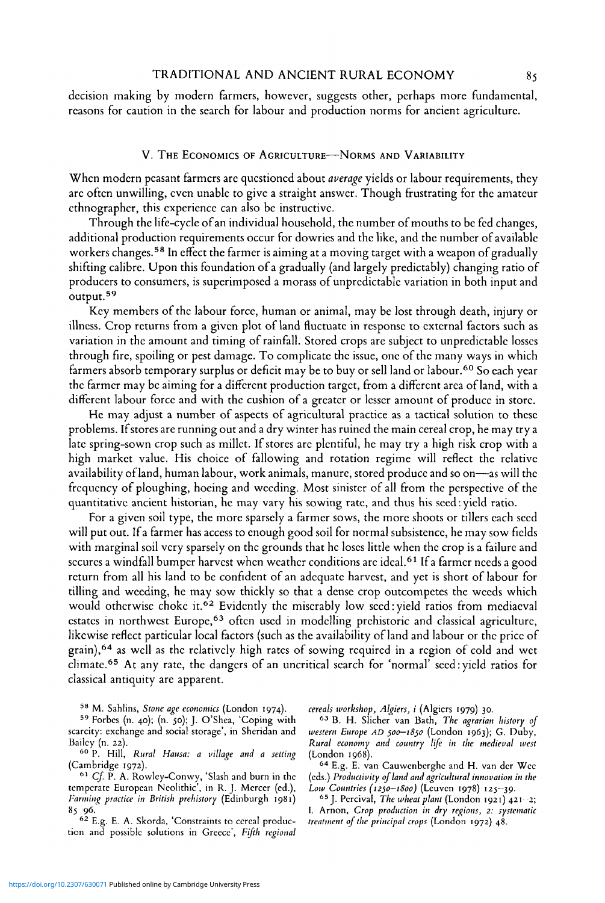decision making by modern farmers, however, suggests other, perhaps more fundamental, reasons for caution in the search for labour and production norms for ancient agriculture.

## V. THE ECONOMICS OF AGRICULTURE—NORMS AND VARIABILITY

When modern peasant farmers are questioned about *average* yields or labour requirements, they are often unwilling, even unable to give a straight answer. Though frustrating for the amateur ethnographer, this experience can also be instructive.

Through the life-cycle of an individual household, the number of mouths to be fed changes, additional production requirements occur for dowries and the like, and the number of available workers changes.<sup>58</sup> In effect the farmer is aiming at a moving target with a weapon of gradually shifting calibre. Upon this foundation of a gradually (and largely predictably) changing ratio of producers to consumers, is superimposed a morass of unpredictable variation in both input and output.<sup>59</sup>

Key members of the labour force, human or animal, may be lost through death, injury or illness. Crop returns from a given plot of land fluctuate in response to external factors such as variation in the amount and timing of rainfall. Stored crops are subject to unpredictable losses through fire, spoiling or pest damage. To complicate the issue, one of the many ways in which farmers absorb temporary surplus or deficit may be to buy or sell land or labour.<sup>60</sup> So each year the farmer may be aiming for a different production target, from a different area of land, with a different labour force and with the cushion of a greater or lesser amount of produce in store.

He may adjust a number of aspects of agricultural practice as a tactical solution to these problems. If stores are running out and a dry winter has ruined the main cereal crop, he may try a late spring-sown crop such as millet. If stores are plentiful, he may try a high risk crop with a high market value. His choice of fallowing and rotation regime will reflect the relative availability of land, human labour, work animals, manure, stored produce and so on—as will the frequency of ploughing, hoeing and weeding. Most sinister of all from the perspective of the quantitative ancient historian, he may vary his sowing rate, and thus his seed:yield ratio.

For a given soil type, the more sparsely a farmer sows, the more shoots or tillers each seed will put out. If a farmer has access to enough good soil for normal subsistence, he may sow fields with marginal soil very sparsely on the grounds that he loses little when the crop is a failure and secures a windfall bumper harvest when weather conditions are ideal.<sup>61</sup> If a farmer needs a good return from all his land to be confident of an adequate harvest, and yet is short of labour for tilling and weeding, he may sow thickly so that a dense crop outcompetes the weeds which would otherwise choke it.<sup>62</sup> Evidently the miserably low seed: yield ratios from mediaeval estates in northwest Europe,<sup>63</sup> often used in modelling prehistoric and classical agriculture, likewise reflect particular local factors (such as the availability of land and labour or the price of grain),<sup>64</sup> as well as the relatively high rates of sowing required in a region of cold and wet climate.<sup>65</sup> At any rate, the dangers of an uncritical search for 'normal' seed:yield ratios for classical antiquity are apparent.

58 M. Sahlins, *Stone age economics* (London 1974). *cereals workshop, Algiers, i* (Algiers 1979) 30. <sup>59</sup>

<sup>58</sup> M. Sahlins, *Stone age economics* (London 1974). *cereals workshop, Algiers, i* (Algiers 1979) 30.<br><sup>59</sup> Forbes (n. 40); (n. 50); J. O'Shea, 'Coping with <sup>63</sup> B. H. Slicher van Bath, *The agrarian* scarcity: exchange Bailey (n. 22). *Rural economy and country life in the medieval west*

6 0 P. Hill, *Rural Hausa: a village and a setting* (London 1968). (Cambridge 1972).  $\sim$  64

*Fanning practice in British prehistory* (Edinburgh 1981)

<sup>62</sup> E.g. E. A. Skorda, 'Constraints to cereal production and possible solutions in Greece', *Fifth regional*

 13. H. Slicher van Bath, *The agrarian history of* western Europe AD 500-1850 (London 1963); G. Duby,

<sup>64</sup> E.g. E. van Cauwenberghe and H. van der Wee *(eds.) Productivity of land and agricultural innovation in the* <sup>61</sup> Cf. P. A. Rowley-Conwy, 'Slash and burn in the (eds.) *Productivity of land and agricultural innovation i*<br>temperate European Neolithic', in R. J. Mercer (ed.), *Low Countries (1250–1800)* (Leuven 1978) 125–39.

<sup>65</sup> J. Percival, *The wheat plant* (London 1921) 421 - 2; 1. Arnon, *Crop production in dry regions, 2: systematic*<br>treatment of the principal crops (London 1972) 48.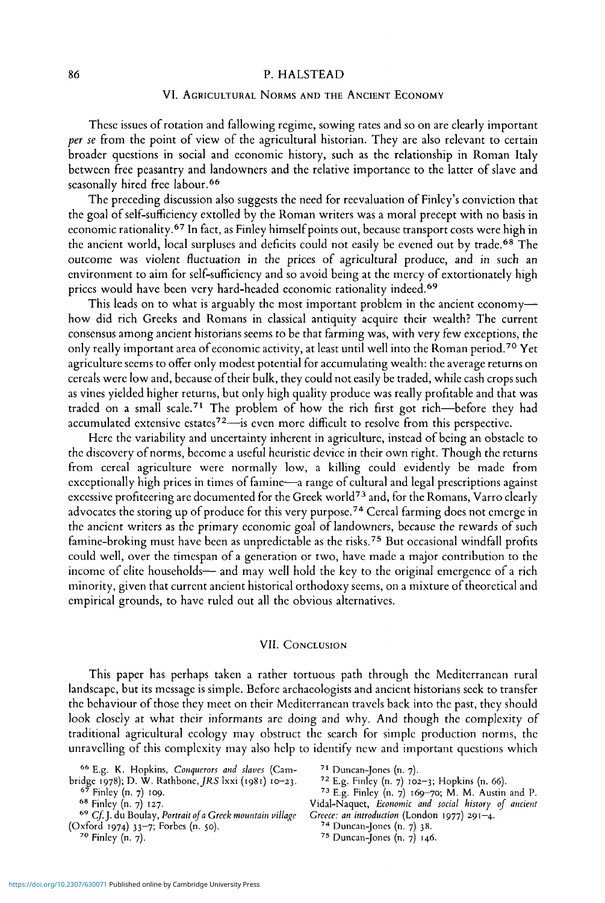#### VI. AGRICULTURAL NORMS AND THE ANCIENT ECONOMY

These issues of rotation and fallowing regime, sowing rates and so on are clearly important *per se* from the point of view of the agricultural historian. They are also relevant to certain broader questions in social and economic history, such as the relationship in Roman Italy between free peasantry and landowners and the relative importance to the latter of slave and seasonally hired free labour.<sup>66</sup>

The preceding discussion also suggests the need for reevaluation of Finley's conviction that the goal of self-sufficiency extolled by the Roman writers was a moral precept with no basis in economic rationality.<sup>67</sup> In fact, as Finley himself points out, because transport costs were high in the ancient world, local surpluses and deficits could not easily be evened out by trade.<sup>68</sup> The outcome was violent fluctuation in the prices of agricultural produce, and in such an environment to aim for self-sufficiency and so avoid being at the mercy of extortionately high prices would have been very hard-headed economic rationality indeed.<sup>69</sup>

This leads on to what is arguably the most important problem in the ancient economy how did rich Greeks and Romans in classical antiquity acquire their wealth? The current consensus among ancient historians seems to be that farming was, with very few exceptions, the only really important area of economic activity, at least until well into the Roman period.<sup>70</sup> Yet agriculture seems to offer only modest potential for accumulating wealth: the average returns on cereals were low and, because of their bulk, they could not easily be traded, while cash crops such as vines yielded higher returns, but only high quality produce was really profitable and that was traded on a small scale.<sup>71</sup> The problem of how the rich first got rich—before they had accumulated extensive estates<sup>72—is</sup> even more difficult to resolve from this perspective.

Here the variability and uncertainty inherent in agriculture, instead of being an obstacle to the discovery of norms, become a useful heuristic device in their own right. Though the returns from cereal agriculture were normally low, a killing could evidently be made from exceptionally high prices in times of famine—a range of cultural and legal prescriptions against excessive profiteering are documented for the Greek world<sup>73</sup> and, for the Romans, Varro clearly advocates the storing up of produce for this very purpose.<sup>74</sup> Cereal farming does not emerge in the ancient writers as the primary economic goal of landowners, because the rewards of such famine-broking must have been as unpredictable as the risks.<sup>75</sup> But occasional windfall profits could well, over the timespan of a generation or two, have made a major contribution to the income of elite households— and may well hold the key to the original emergence of a rich minority, given that current ancient historical orthodoxy seems, on a mixture of theoretical and empirical grounds, to have ruled out all the obvious alternatives.

#### VII. CONCLUSION

This paper has perhaps taken a rather tortuous path through the Mediterranean rural landscape, but its message is simple. Before archaeologists and ancient historians seek to transfer the behaviour of those they meet on their Mediterranean travels back into the past, they should look closely at what their informants are doing and why. And though the complexity of traditional agricultural ecology may obstruct the search for simple production norms, the unravelling of this complexity may also help to identify new and important questions which

<sup>6</sup> 6 E.g. K. Hopkins, *Conquerors and slaves* (Cam-

bridge 1978); D. W. Rathbone, *JRS* lxxi (1981) 10-23. <sup>67</sup> Finley (n. 7) 109. 73 and 30 and 30 and 30 and 30 and 30 and 30 and 30 and 30 and 30 and 30 and 30 and 30 and 30 and 30 and 30 an<br>The Samuel State State State State State State State State State State State State State State State State Sta

<sup>&</sup>lt;sup>68</sup> Finley (n. 7) 127.

<sup>&</sup>lt;sup>69</sup> Cf. J. du Boulay, *Portrait of a Greek mountain village* Greece: an introduction (London 1977) 291–4.<br>xford 1971) 33–7: Forbes (p. 60) (Oxford 1974) 33—7; Forbes (n. 50).  $7.5$  5  $7.5$  5  $7.5$  5  $7.5$  5  $7.5$  5  $7.5$ 

<sup>&</sup>lt;sup>70</sup> Finley (n. 7).

 <sup>7</sup> 1 Duncan-Jones (n. 7).

 <sup>7</sup> 2 E.g. Finley (n. 7) 102-3; Hopkins (n. 66).

E.g. Finley (n. 7) 169-70; M. M. Austin and P. Vidal-Naquet, *Economic and social history of ancient* 

Duncan-Jones (n. 7) 38.

 $75$  Duncan-Jones (n. 7) 146.